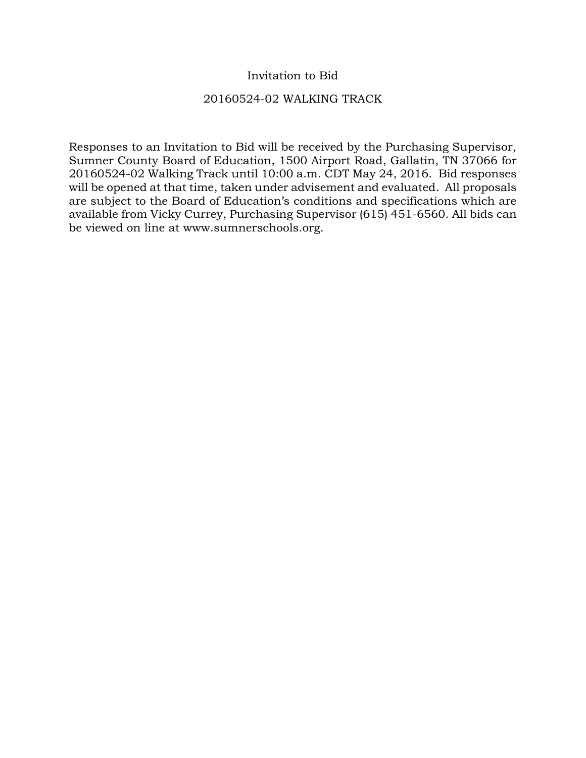# Invitation to Bid

## 20160524-02 WALKING TRACK

Responses to an Invitation to Bid will be received by the Purchasing Supervisor, Sumner County Board of Education, 1500 Airport Road, Gallatin, TN 37066 for 20160524-02 Walking Track until 10:00 a.m. CDT May 24, 2016. Bid responses will be opened at that time, taken under advisement and evaluated. All proposals are subject to the Board of Education's conditions and specifications which are available from Vicky Currey, Purchasing Supervisor (615) 451-6560. All bids can be viewed on line at www.sumnerschools.org.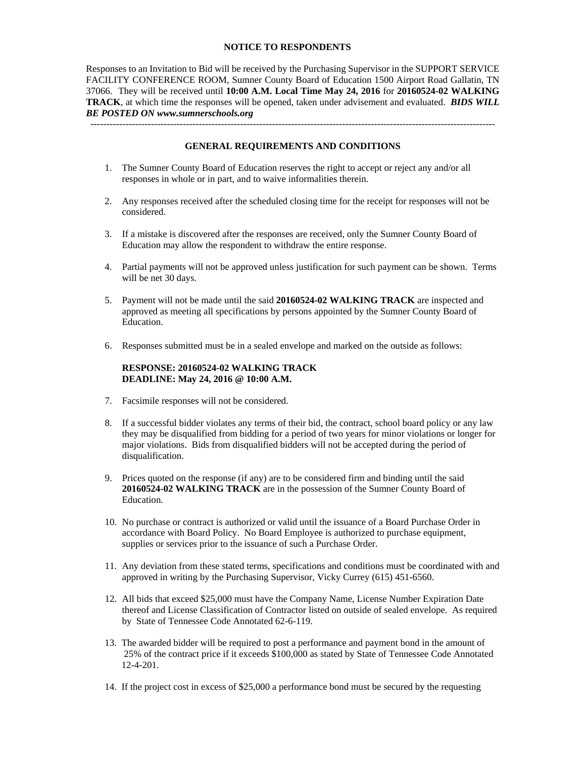#### **NOTICE TO RESPONDENTS**

Responses to an Invitation to Bid will be received by the Purchasing Supervisor in the SUPPORT SERVICE FACILITY CONFERENCE ROOM, Sumner County Board of Education 1500 Airport Road Gallatin, TN 37066. They will be received until **10:00 A.M. Local Time May 24, 2016** for **20160524-02 WALKING TRACK**, at which time the responses will be opened, taken under advisement and evaluated. *BIDS WILL BE POSTED ON www.sumnerschools.org* 

**GENERAL REQUIREMENTS AND CONDITIONS** 

-------------------------------------------------------------------------------------------------------------------------------

- 1. The Sumner County Board of Education reserves the right to accept or reject any and/or all responses in whole or in part, and to waive informalities therein.
- 2. Any responses received after the scheduled closing time for the receipt for responses will not be considered.
- 3. If a mistake is discovered after the responses are received, only the Sumner County Board of Education may allow the respondent to withdraw the entire response.
- 4. Partial payments will not be approved unless justification for such payment can be shown. Terms will be net 30 days.
- 5. Payment will not be made until the said **20160524-02 WALKING TRACK** are inspected and approved as meeting all specifications by persons appointed by the Sumner County Board of Education.
- 6. Responses submitted must be in a sealed envelope and marked on the outside as follows:

#### **RESPONSE: 20160524-02 WALKING TRACK DEADLINE: May 24, 2016 @ 10:00 A.M.**

- 7. Facsimile responses will not be considered.
- 8. If a successful bidder violates any terms of their bid, the contract, school board policy or any law they may be disqualified from bidding for a period of two years for minor violations or longer for major violations. Bids from disqualified bidders will not be accepted during the period of disqualification.
- 9. Prices quoted on the response (if any) are to be considered firm and binding until the said **20160524-02 WALKING TRACK** are in the possession of the Sumner County Board of Education.
- 10. No purchase or contract is authorized or valid until the issuance of a Board Purchase Order in accordance with Board Policy. No Board Employee is authorized to purchase equipment, supplies or services prior to the issuance of such a Purchase Order.
- 11. Any deviation from these stated terms, specifications and conditions must be coordinated with and approved in writing by the Purchasing Supervisor, Vicky Currey (615) 451-6560.
- 12. All bids that exceed \$25,000 must have the Company Name, License Number Expiration Date thereof and License Classification of Contractor listed on outside of sealed envelope. As required by State of Tennessee Code Annotated 62-6-119.
- 13. The awarded bidder will be required to post a performance and payment bond in the amount of 25% of the contract price if it exceeds \$100,000 as stated by State of Tennessee Code Annotated 12-4-201.
- 14. If the project cost in excess of \$25,000 a performance bond must be secured by the requesting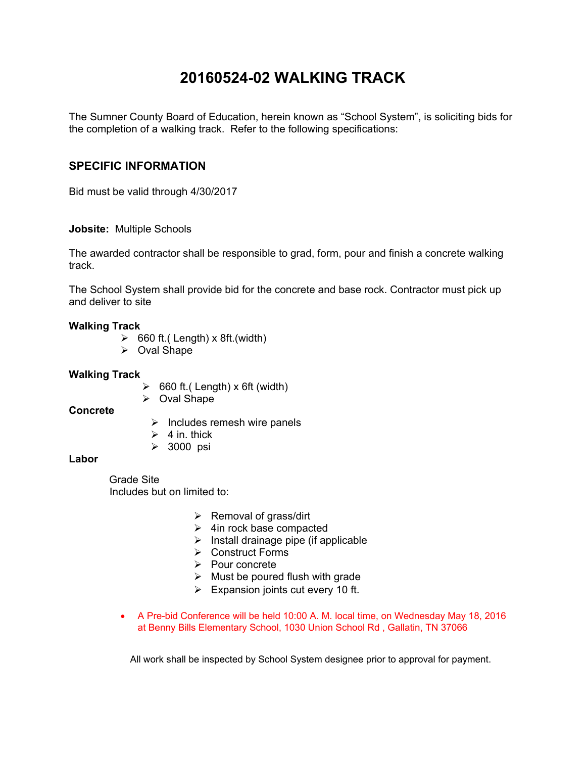# **20160524-02 WALKING TRACK**

The Sumner County Board of Education, herein known as "School System", is soliciting bids for the completion of a walking track. Refer to the following specifications:

# **SPECIFIC INFORMATION**

Bid must be valid through 4/30/2017

### **Jobsite:** Multiple Schools

The awarded contractor shall be responsible to grad, form, pour and finish a concrete walking track.

The School System shall provide bid for the concrete and base rock. Contractor must pick up and deliver to site

### **Walking Track**

- $\geq$  660 ft.( Length) x 8ft.(width)
- $\triangleright$  Oval Shape

#### **Walking Track**

- $\geq$  660 ft.( Length) x 6ft (width)
- Oval Shape

### **Concrete**

- $\triangleright$  Includes remesh wire panels
- $\geq 4$  in. thick
- 3000 psi

#### **Labor**

 Grade Site Includes but on limited to:

- $\triangleright$  Removal of grass/dirt
- $\triangleright$  4in rock base compacted
- $\triangleright$  Install drainage pipe (if applicable
- Construct Forms
- $\triangleright$  Pour concrete
- $\triangleright$  Must be poured flush with grade
- $\triangleright$  Expansion joints cut every 10 ft.
- A Pre-bid Conference will be held 10:00 A. M. local time, on Wednesday May 18, 2016 at Benny Bills Elementary School, 1030 Union School Rd , Gallatin, TN 37066

All work shall be inspected by School System designee prior to approval for payment.